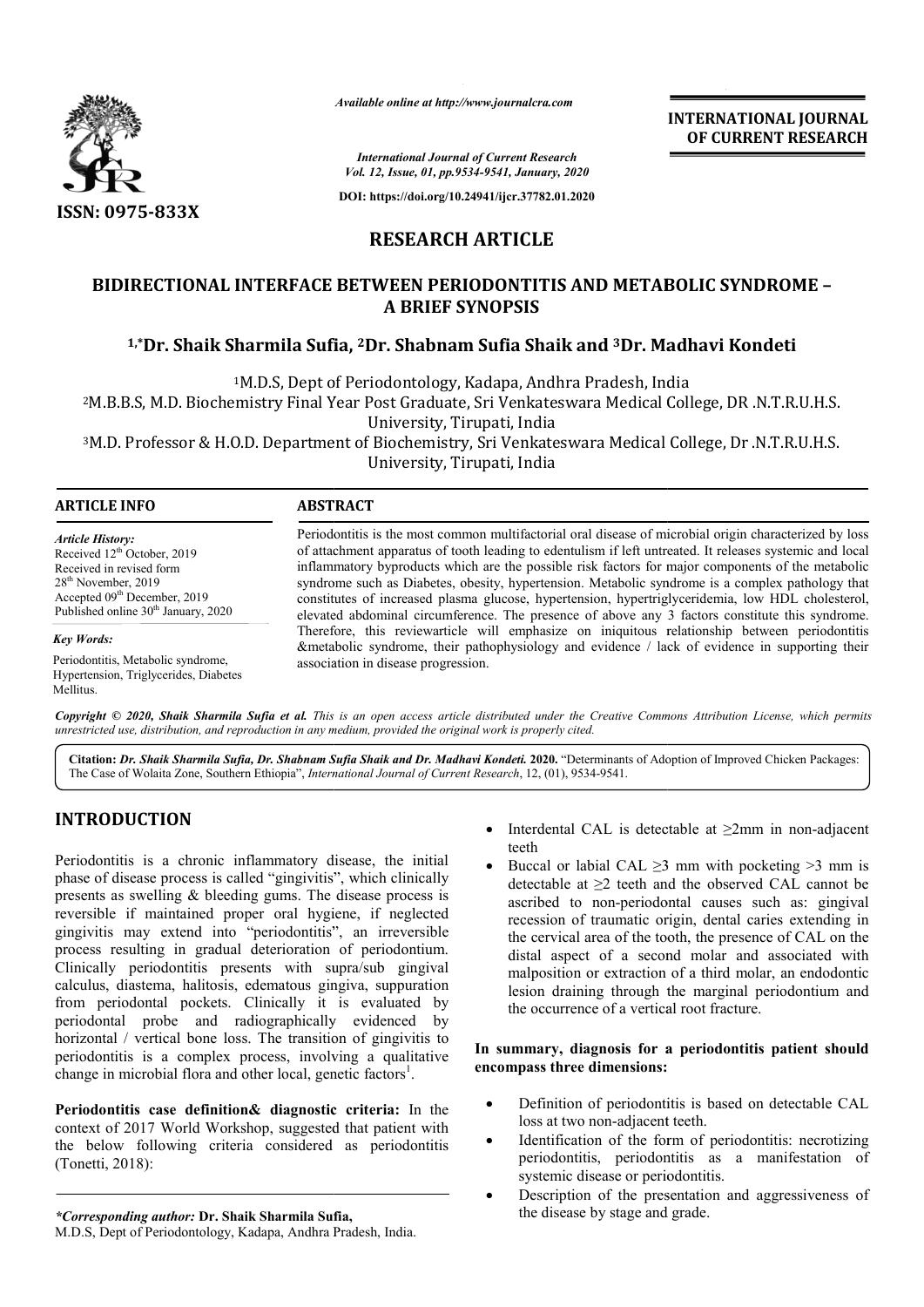

*Available online at http://www.journalcra.com*

**INTERNATIONAL JOURNAL OF CURRENT RESEARCH**

*International Journal of Current Research Vol. 12, Issue, 01, pp.9534-9541, January, 2020*

**DOI: https://doi.org/10.24941/ijcr.37782.01.2020**

# **RESEARCH ARTICLE**

# **BIDIRECTIONAL INTERFACE BETWEEN PERIODONTITIS AND METABOLIC SYNDROME – A BRIEF SYNOPSIS**

# <sup>1,\*</sup>Dr. Shaik Sharmila Sufia, <sup>2</sup>Dr. Shabnam Sufia Shaik and <sup>3</sup>Dr. Madhavi Kondeti

1M.D.S, Dept of Periodontology, Kadapa, Andhra Pradesh, India 2M.B.B.S, M.D. Biochemistry Final Year Post Graduate, Sri M.D.S, M.B.B.S, Venkateswara Medical College, DR .N.T.R.U.H.S. IM.D.S, Dept of Periodontology, Kadapa, Andhra Pradesh, India<br>2M.B.B.S, M.D. Biochemistry Final Year Post Graduate, Sri Venkateswara Medical College, DR .N.T.R.U.H.S.<br>3M.D. Professor & H.O.D. Department of Biochemistry, Sr University, Tirupati, India

University, Tirupati, India

### **ARTICLE INFO ABSTRACT**

*Article History:* Received 12<sup>th</sup> October, 2019 Received in revised form 28th November, 2019 Accepted 09<sup>th</sup> December, 2019 Published online 30<sup>th</sup> January, 2020

*Key Words:*

Periodontitis, Metabolic syndrome, Hypertension, Triglycerides, Diabetes Mellitus.

Periodontitis is the most common multifactorial oral disease of microbial origin characterized by loss of attachment apparatus of tooth leading to edentulism if left untreated. It releases systemic and local of attachment apparatus of tooth leading to edentulism if left untreated. It releases systemic and local<br>inflammatory byproducts which are the possible risk factors for major components of the metabolic syndrome such as Diabetes, obesity, hypertension. Metabolic syndrome is a complex pathology that constitutes of increased plasma glucose, hypertension, hypertriglyceridemia, low HDL cholesterol, elevated abdominal circumference. The presence of above any 3 factors constitute this syndrome. Therefore, this reviewarticle will emphasize on iniquitous relationship between periodontitis &metabolic syndrome, their pathophysiology and evidence / lack of evidence in supporting their associat association in disease progression. syndrome such as Diabetes, obesity, hypertension. Metabolic syndrome is a complex constitutes of increased plasma glucose, hypertension, hypertriglyceridemia, low HI elevated abdominal circumference. The presence of above

Copyright © 2020, Shaik Sharmila Sufia et al. This is an open access article distributed under the Creative Commons Attribution License, which permits *unrestricted use, distribution, and reproduction in any medium, provided the original work is properly cited.*

Citation: Dr. Shaik Sharmila Sufia, Dr. Shabnam Sufia Shaik and Dr. Madhavi Kondeti. 2020. "Determinants of Adoption of Improved Chicken Packages: The Case of Wolaita Zone, Southern Ethiopia", *International Journal of Current Research*, 12, (01), 9534-9541.

# **INTRODUCTION**

Periodontitis is a chronic inflammatory disease, the initial phase of disease process is called "gingivitis", which clinically presents as swelling & bleeding gums. The disease process is reversible if maintained proper oral hygiene, if neglected gingivitis may extend into "periodontitis", an irreversible process resulting in gradual deterioration of periodontium. Clinically periodontitis presents with supra/sub gingival calculus, diastema, halitosis, edematous gingiva, suppuration from periodontal pockets. Clinically it is evaluated by periodontal probe and radiographically evidenced by horizontal / vertical bone loss. The transition of gingivitis to periodontitis is a complex process, involving a qualitative change in microbial flora and other local, genetic factors<sup>1</sup>. sents with supra/sub gingival<br>edematous gingiva, suppuration<br>Clinically it is evaluated by<br>adiographically evidenced by<br>s. The transition of gingivitis to **EXECUTE:**<br>
Interdental CAL is detectable at<br>
rethermal CAL is detectable at<br>
sease process is called "gingivitis", which clinically<br>
sease of pluced or labial CAL  $\geq$ 3 mm wi<br>
detectable at  $\geq$ 2 teeth and the observed

**Periodontitis case definition& diagnostic criteria:**  In the context of 2017 World Workshop, suggested that patient with the below following criteria considered as periodontitis (Tonetti, 2018):

*\*Corresponding author:* **Dr. Shaik Sharmila Sufia,**

- teeth Interdental CAL is detectable at  $\geq 2$ mm in non-adjacent
- Buccal or labial CAL  $\geq$ 3 mm with pocketing  $>$ 3 mm is detectable at  $\geq 2$  teeth and the observed CAL cannot be ascribed to non-periodontal causes such as: gingival recession of traumatic origin, dental caries extending in the cervical area of the tooth, the presence of CAL on the distal aspect of a second molar and associated with malposition or extraction of a third molar, an endodontic lesion draining through the marginal periodontium and the occurrence of a vertical root fracture. ectable at  $\geq$ 2 teeth and the observed CAL cannot be ribed to non-periodontal causes such as: gingival ession of traumatic origin, dental caries extending in cervical area of the tooth, the presence of CAL on the distal aspect of a second molar and associated<br>malposition or extraction of a third molar, an endod<br>lesion draining through the marginal periodontiun

#### In summary, diagnosis for a periodontitis patient should **encompass three dimensions: encompass three dimensions:**

- Definition of periodontitis is based on detectable CAL Definition of periodontitis is<br>loss at two non-adjacent teeth.
- Identification of the form of periodontitis: necrotizing periodontitis, periodontitis as a manifestation of systemic disease or periodontitis. Identification of the form of periodontitis: necrotizing<br>periodontitis, periodontitis as a manifestation of<br>systemic disease or periodontitis.<br>Description of the presentation and aggressiveness of
- Description of the presentation and aggressiveness of the disease by stage and grade.

M.D.S, Dept of Periodontology, Kadapa, Andhra Pradesh, India.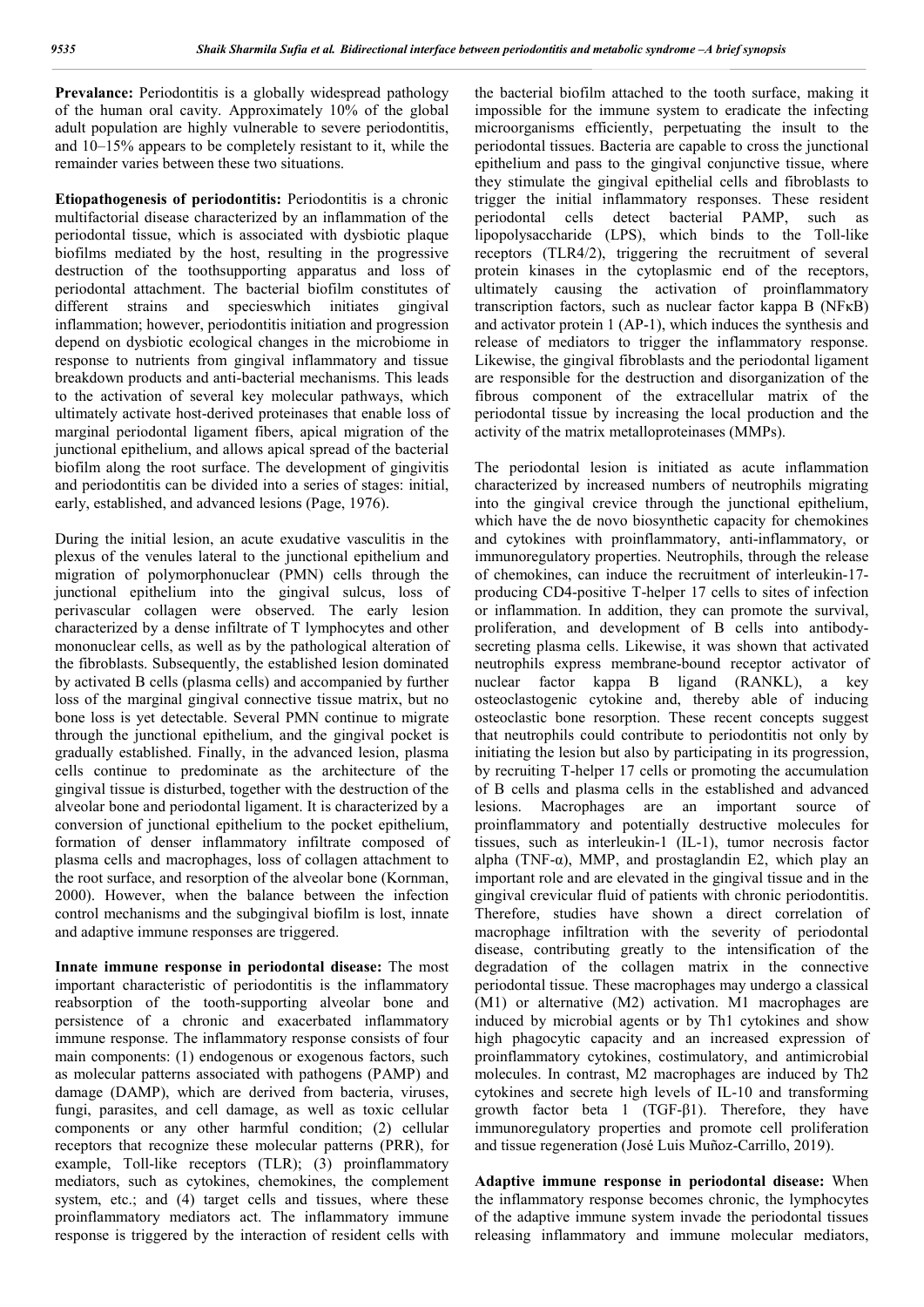Prevalance: Periodontitis is a globally widespread pathology of the human oral cavity. Approximately 10% of the global adult population are highly vulnerable to severe periodontitis, and 10–15% appears to be completely resistant to it, while the remainder varies between these two situations.

**Etiopathogenesis of periodontitis:** Periodontitis is a chronic multifactorial disease characterized by an inflammation of the periodontal tissue, which is associated with dysbiotic plaque biofilms mediated by the host, resulting in the progressive destruction of the toothsupporting apparatus and loss of periodontal attachment. The bacterial biofilm constitutes of different strains and specieswhich initiates gingival inflammation; however, periodontitis initiation and progression depend on dysbiotic ecological changes in the microbiome in response to nutrients from gingival inflammatory and tissue breakdown products and anti-bacterial mechanisms. This leads to the activation of several key molecular pathways, which ultimately activate host-derived proteinases that enable loss of marginal periodontal ligament fibers, apical migration of the junctional epithelium, and allows apical spread of the bacterial biofilm along the root surface. The development of gingivitis and periodontitis can be divided into a series of stages: initial, early, established, and advanced lesions (Page, 1976).

During the initial lesion, an acute exudative vasculitis in the plexus of the venules lateral to the junctional epithelium and migration of polymorphonuclear (PMN) cells through the junctional epithelium into the gingival sulcus, loss of perivascular collagen were observed. The early lesion characterized by a dense infiltrate of T lymphocytes and other mononuclear cells, as well as by the pathological alteration of the fibroblasts. Subsequently, the established lesion dominated by activated B cells (plasma cells) and accompanied by further loss of the marginal gingival connective tissue matrix, but no bone loss is yet detectable. Several PMN continue to migrate through the junctional epithelium, and the gingival pocket is gradually established. Finally, in the advanced lesion, plasma cells continue to predominate as the architecture of the gingival tissue is disturbed, together with the destruction of the alveolar bone and periodontal ligament. It is characterized by a conversion of junctional epithelium to the pocket epithelium, formation of denser inflammatory infiltrate composed of plasma cells and macrophages, loss of collagen attachment to the root surface, and resorption of the alveolar bone (Kornman, 2000). However, when the balance between the infection control mechanisms and the subgingival biofilm is lost, innate and adaptive immune responses are triggered.

**Innate immune response in periodontal disease:** The most important characteristic of periodontitis is the inflammatory reabsorption of the tooth-supporting alveolar bone and persistence of a chronic and exacerbated inflammatory immune response. The inflammatory response consists of four main components: (1) endogenous or exogenous factors, such as molecular patterns associated with pathogens (PAMP) and damage (DAMP), which are derived from bacteria, viruses, fungi, parasites, and cell damage, as well as toxic cellular components or any other harmful condition; (2) cellular receptors that recognize these molecular patterns (PRR), for example, Toll-like receptors (TLR); (3) proinflammatory mediators, such as cytokines, chemokines, the complement system, etc.; and (4) target cells and tissues, where these proinflammatory mediators act. The inflammatory immune response is triggered by the interaction of resident cells with

the bacterial biofilm attached to the tooth surface, making it impossible for the immune system to eradicate the infecting microorganisms efficiently, perpetuating the insult to the periodontal tissues. Bacteria are capable to cross the junctional epithelium and pass to the gingival conjunctive tissue, where they stimulate the gingival epithelial cells and fibroblasts to trigger the initial inflammatory responses. These resident periodontal cells detect bacterial PAMP, such as lipopolysaccharide (LPS), which binds to the Toll-like receptors (TLR4/2), triggering the recruitment of several protein kinases in the cytoplasmic end of the receptors, ultimately causing the activation of proinflammatory transcription factors, such as nuclear factor kappa B (NFκB) and activator protein 1 (AP-1), which induces the synthesis and release of mediators to trigger the inflammatory response. Likewise, the gingival fibroblasts and the periodontal ligament are responsible for the destruction and disorganization of the fibrous component of the extracellular matrix of the periodontal tissue by increasing the local production and the activity of the matrix metalloproteinases (MMPs).

The periodontal lesion is initiated as acute inflammation characterized by increased numbers of neutrophils migrating into the gingival crevice through the junctional epithelium, which have the de novo biosynthetic capacity for chemokines and cytokines with proinflammatory, anti-inflammatory, or immunoregulatory properties. Neutrophils, through the release of chemokines, can induce the recruitment of interleukin-17 producing CD4-positive T-helper 17 cells to sites of infection or inflammation. In addition, they can promote the survival, proliferation, and development of B cells into antibodysecreting plasma cells. Likewise, it was shown that activated neutrophils express membrane-bound receptor activator of nuclear factor kappa Β ligand (RANKL), a key osteoclastogenic cytokine and, thereby able of inducing osteoclastic bone resorption. These recent concepts suggest that neutrophils could contribute to periodontitis not only by initiating the lesion but also by participating in its progression, by recruiting T-helper 17 cells or promoting the accumulation of B cells and plasma cells in the established and advanced lesions. Macrophages are an important source of proinflammatory and potentially destructive molecules for tissues, such as interleukin-1 (IL-1), tumor necrosis factor alpha (TNF- $\alpha$ ), MMP, and prostaglandin E2, which play an important role and are elevated in the gingival tissue and in the gingival crevicular fluid of patients with chronic periodontitis. Therefore, studies have shown a direct correlation of macrophage infiltration with the severity of periodontal disease, contributing greatly to the intensification of the degradation of the collagen matrix in the connective periodontal tissue. These macrophages may undergo a classical (M1) or alternative (M2) activation. M1 macrophages are induced by microbial agents or by Th1 cytokines and show high phagocytic capacity and an increased expression of proinflammatory cytokines, costimulatory, and antimicrobial molecules. In contrast, M2 macrophages are induced by Th2 cytokines and secrete high levels of IL-10 and transforming growth factor beta 1 (TGF- $\beta$ 1). Therefore, they have immunoregulatory properties and promote cell proliferation and tissue regeneration (José Luis Muñoz-Carrillo, 2019).

**Adaptive immune response in periodontal disease:** When the inflammatory response becomes chronic, the lymphocytes of the adaptive immune system invade the periodontal tissues releasing inflammatory and immune molecular mediators,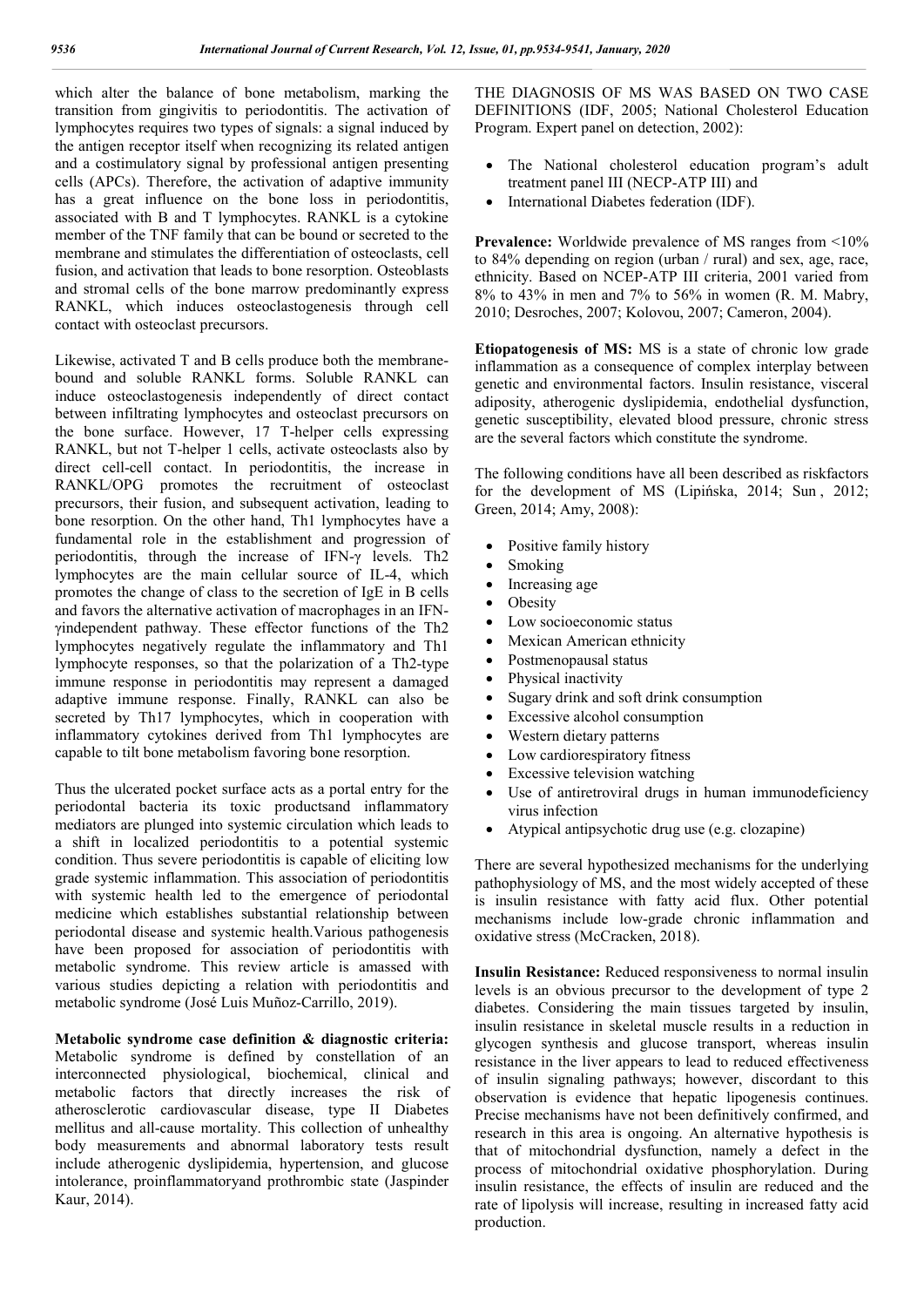which alter the balance of bone metabolism, marking the transition from gingivitis to periodontitis. The activation of lymphocytes requires two types of signals: a signal induced by the antigen receptor itself when recognizing its related antigen and a costimulatory signal by professional antigen presenting cells (APCs). Therefore, the activation of adaptive immunity has a great influence on the bone loss in periodontitis, associated with B and T lymphocytes. RANKL is a cytokine member of the TNF family that can be bound or secreted to the membrane and stimulates the differentiation of osteoclasts, cell fusion, and activation that leads to bone resorption. Osteoblasts and stromal cells of the bone marrow predominantly express RANKL, which induces osteoclastogenesis through cell contact with osteoclast precursors.

Likewise, activated T and B cells produce both the membranebound and soluble RANKL forms. Soluble RANKL can induce osteoclastogenesis independently of direct contact between infiltrating lymphocytes and osteoclast precursors on the bone surface. However, 17 T-helper cells expressing RANKL, but not T-helper 1 cells, activate osteoclasts also by direct cell-cell contact. In periodontitis, the increase in RANKL/OPG promotes the recruitment of osteoclast precursors, their fusion, and subsequent activation, leading to bone resorption. On the other hand, Th1 lymphocytes have a fundamental role in the establishment and progression of periodontitis, through the increase of IFN-γ levels. Th2 lymphocytes are the main cellular source of IL-4, which promotes the change of class to the secretion of IgE in B cells and favors the alternative activation of macrophages in an IFNγindependent pathway. These effector functions of the Th2 lymphocytes negatively regulate the inflammatory and Th1 lymphocyte responses, so that the polarization of a Th2-type immune response in periodontitis may represent a damaged adaptive immune response. Finally, RANKL can also be secreted by Th17 lymphocytes, which in cooperation with inflammatory cytokines derived from Th1 lymphocytes are capable to tilt bone metabolism favoring bone resorption.

Thus the ulcerated pocket surface acts as a portal entry for the periodontal bacteria its toxic productsand inflammatory mediators are plunged into systemic circulation which leads to a shift in localized periodontitis to a potential systemic condition. Thus severe periodontitis is capable of eliciting low grade systemic inflammation. This association of periodontitis with systemic health led to the emergence of periodontal medicine which establishes substantial relationship between periodontal disease and systemic health.Various pathogenesis have been proposed for association of periodontitis with metabolic syndrome. This review article is amassed with various studies depicting a relation with periodontitis and metabolic syndrome (José Luis Muñoz-Carrillo, 2019).

**Metabolic syndrome case definition & diagnostic criteria:**  Metabolic syndrome is defined by constellation of an interconnected physiological, biochemical, clinical and metabolic factors that directly increases the risk of atherosclerotic cardiovascular disease, type II Diabetes mellitus and all-cause mortality. This collection of unhealthy body measurements and abnormal laboratory tests result include atherogenic dyslipidemia, hypertension, and glucose intolerance, proinflammatoryand prothrombic state (Jaspinder Kaur, 2014).

THE DIAGNOSIS OF MS WAS BASED ON TWO CASE DEFINITIONS (IDF, 2005; National Cholesterol Education Program. Expert panel on detection, 2002):

- The National cholesterol education program's adult treatment panel III (NECP-ATP III) and
- International Diabetes federation (IDF).

**Prevalence:** Worldwide prevalence of MS ranges from <10% to 84% depending on region (urban / rural) and sex, age, race, ethnicity. Based on NCEP-ATP III criteria, 2001 varied from 8% to 43% in men and 7% to 56% in women (R. M. Mabry, 2010; Desroches, 2007; Kolovou, 2007; Cameron, 2004).

**Etiopatogenesis of MS:** MS is a state of chronic low grade inflammation as a consequence of complex interplay between genetic and environmental factors. Insulin resistance, visceral adiposity, atherogenic dyslipidemia, endothelial dysfunction, genetic susceptibility, elevated blood pressure, chronic stress are the several factors which constitute the syndrome.

The following conditions have all been described as riskfactors for the development of MS (Lipińska, 2014; Sun , 2012; Green, 2014; Amy, 2008):

- Positive family history
- Smoking
- Increasing age
- Obesity
- Low socioeconomic status
- Mexican American ethnicity
- Postmenopausal status
- Physical inactivity
- Sugary drink and soft drink consumption
- Excessive alcohol consumption
- Western dietary patterns
- Low cardiorespiratory fitness
- Excessive television watching
- Use of antiretroviral drugs in human immunodeficiency virus infection
- Atypical antipsychotic drug use (e.g. clozapine)

There are several hypothesized mechanisms for the underlying pathophysiology of MS, and the most widely accepted of these is insulin resistance with fatty acid flux. Other potential mechanisms include low-grade chronic inflammation and oxidative stress (McCracken, 2018).

**Insulin Resistance:** Reduced responsiveness to normal insulin levels is an obvious precursor to the development of type 2 diabetes. Considering the main tissues targeted by insulin, insulin resistance in skeletal muscle results in a reduction in glycogen synthesis and glucose transport, whereas insulin resistance in the liver appears to lead to reduced effectiveness of insulin signaling pathways; however, discordant to this observation is evidence that hepatic lipogenesis continues. Precise mechanisms have not been definitively confirmed, and research in this area is ongoing. An alternative hypothesis is that of mitochondrial dysfunction, namely a defect in the process of mitochondrial oxidative phosphorylation. During insulin resistance, the effects of insulin are reduced and the rate of lipolysis will increase, resulting in increased fatty acid production.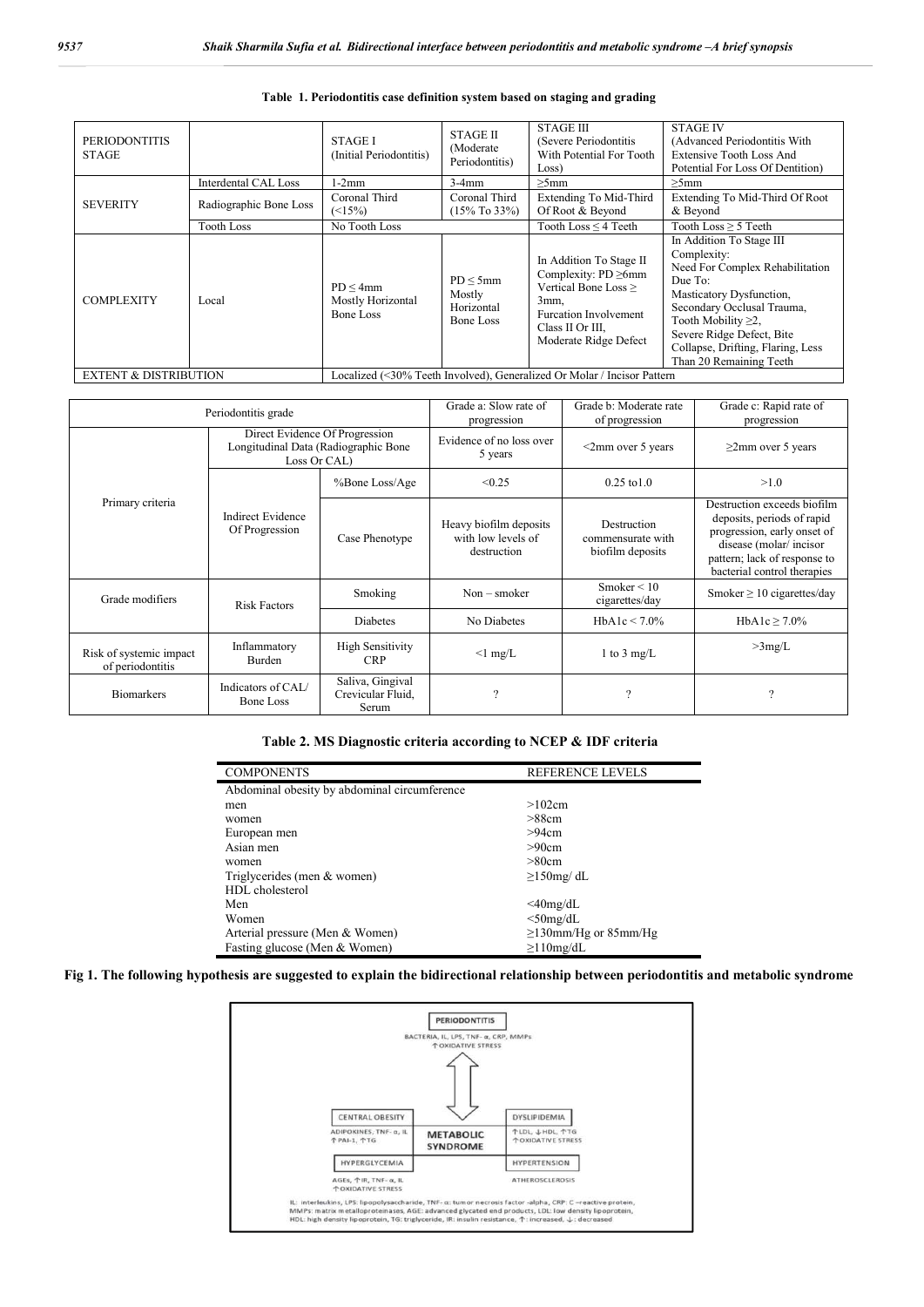| <b>PERIODONTITIS</b><br><b>STAGE</b> |                        | <b>STAGE I</b><br>(Initial Periodontitis)                               | <b>STAGE II</b><br>(Moderate)<br>Periodontitis) | <b>STAGE III</b><br>(Severe Periodontitis)<br>With Potential For Tooth<br>Loss)                                                                                   | <b>STAGE IV</b><br>(Advanced Periodontitis With<br><b>Extensive Tooth Loss And</b><br>Potential For Loss Of Dentition)                                                                                                                                                    |
|--------------------------------------|------------------------|-------------------------------------------------------------------------|-------------------------------------------------|-------------------------------------------------------------------------------------------------------------------------------------------------------------------|---------------------------------------------------------------------------------------------------------------------------------------------------------------------------------------------------------------------------------------------------------------------------|
| <b>SEVERITY</b>                      | Interdental CAL Loss   | $1-2mm$                                                                 | $3-4mm$                                         | $>5$ mm                                                                                                                                                           | $>5$ mm                                                                                                                                                                                                                                                                   |
|                                      | Radiographic Bone Loss | Coronal Third<br>$(\leq 15\%)$                                          | Coronal Third<br>$(15\%$ To 33%)                | Extending To Mid-Third<br>Of Root & Beyond                                                                                                                        | Extending To Mid-Third Of Root<br>& Beyond                                                                                                                                                                                                                                |
|                                      | <b>Tooth Loss</b>      | No Tooth Loss                                                           |                                                 | Tooth Loss $\leq$ 4 Teeth                                                                                                                                         | Tooth Loss $\geq$ 5 Teeth                                                                                                                                                                                                                                                 |
| <b>COMPLEXITY</b>                    | Local                  | PD < 4mm<br>Mostly Horizontal<br>Bone Loss                              | PD < 5mm<br>Mostly<br>Horizontal<br>Bone Loss   | In Addition To Stage II<br>Complexity: $PD \ge 6$ mm<br>Vertical Bone Loss ><br>3mm.<br><b>Furcation Involvement</b><br>Class II Or III,<br>Moderate Ridge Defect | In Addition To Stage III<br>Complexity:<br>Need For Complex Rehabilitation<br>Due To:<br>Masticatory Dysfunction,<br>Secondary Occlusal Trauma,<br>Tooth Mobility $\geq 2$ ,<br>Severe Ridge Defect, Bite<br>Collapse, Drifting, Flaring, Less<br>Than 20 Remaining Teeth |
| <b>EXTENT &amp; DISTRIBUTION</b>     |                        | Localized (<30% Teeth Involved), Generalized Or Molar / Incisor Pattern |                                                 |                                                                                                                                                                   |                                                                                                                                                                                                                                                                           |

#### **Table 1. Periodontitis case definition system based on staging and grading**

| Periodontitis grade                         |                                                                                        |                                                | Grade a: Slow rate of<br>progression                        | Grade b: Moderate rate<br>of progression             | Grade c: Rapid rate of<br>progression                                                                                                                                             |
|---------------------------------------------|----------------------------------------------------------------------------------------|------------------------------------------------|-------------------------------------------------------------|------------------------------------------------------|-----------------------------------------------------------------------------------------------------------------------------------------------------------------------------------|
| Primary criteria                            | Direct Evidence Of Progression<br>Longitudinal Data (Radiographic Bone<br>Loss Or CAL) |                                                | Evidence of no loss over<br>5 years                         | $\leq$ 2mm over 5 years                              | $\geq$ 2mm over 5 years                                                                                                                                                           |
|                                             |                                                                                        | %Bone Loss/Age                                 | < 0.25                                                      | $0.25 \text{ to } 1.0$                               | >1.0                                                                                                                                                                              |
|                                             | Indirect Evidence<br>Of Progression                                                    | Case Phenotype                                 | Heavy biofilm deposits<br>with low levels of<br>destruction | Destruction<br>commensurate with<br>biofilm deposits | Destruction exceeds biofilm<br>deposits, periods of rapid<br>progression, early onset of<br>disease (molar/incisor<br>pattern; lack of response to<br>bacterial control therapies |
| Grade modifiers                             | <b>Risk Factors</b>                                                                    | Smoking                                        | $Non - smoker$                                              | Smoker $\leq 10$<br>cigarettes/day                   | Smoker $\geq 10$ cigarettes/day                                                                                                                                                   |
|                                             |                                                                                        | <b>Diabetes</b>                                | No Diabetes                                                 | HbA1c < 7.0%                                         | HbA1c $\geq$ 7.0%                                                                                                                                                                 |
| Risk of systemic impact<br>of periodontitis | Inflammatory<br><b>Burden</b>                                                          | <b>High Sensitivity</b><br><b>CRP</b>          | $\leq$ 1 mg/L                                               | 1 to 3 mg/L                                          | >3mg/L                                                                                                                                                                            |
| <b>Biomarkers</b>                           | Indicators of CAL/<br>Bone Loss                                                        | Saliva, Gingival<br>Crevicular Fluid.<br>Serum | $\mathcal{P}$                                               | ?                                                    | ?                                                                                                                                                                                 |

## **Table 2. MS Diagnostic criteria according to NCEP & IDF criteria**

| <b>COMPONENTS</b>                            | <b>REFERENCE LEVELS</b>    |  |  |  |
|----------------------------------------------|----------------------------|--|--|--|
| Abdominal obesity by abdominal circumference |                            |  |  |  |
| men                                          | >102cm                     |  |  |  |
| women                                        | >88cm                      |  |  |  |
| European men                                 | >94cm                      |  |  |  |
| Asian men                                    | >90cm                      |  |  |  |
| women                                        | >80cm                      |  |  |  |
| Triglycerides (men & women)                  | $\geq$ 150mg/dL            |  |  |  |
| HDL cholesterol                              |                            |  |  |  |
| Men                                          | $\leq$ 40mg/dL             |  |  |  |
| Women                                        | $<$ 50mg/dL                |  |  |  |
| Arterial pressure (Men & Women)              | $\geq$ 130mm/Hg or 85mm/Hg |  |  |  |
| Fasting glucose (Men & Women)                | $\geq$ 10mg/dL             |  |  |  |

### **Fig 1. The following hypothesis are suggested to explain the bidirectional relationship between periodontitis and metabolic syndrome**

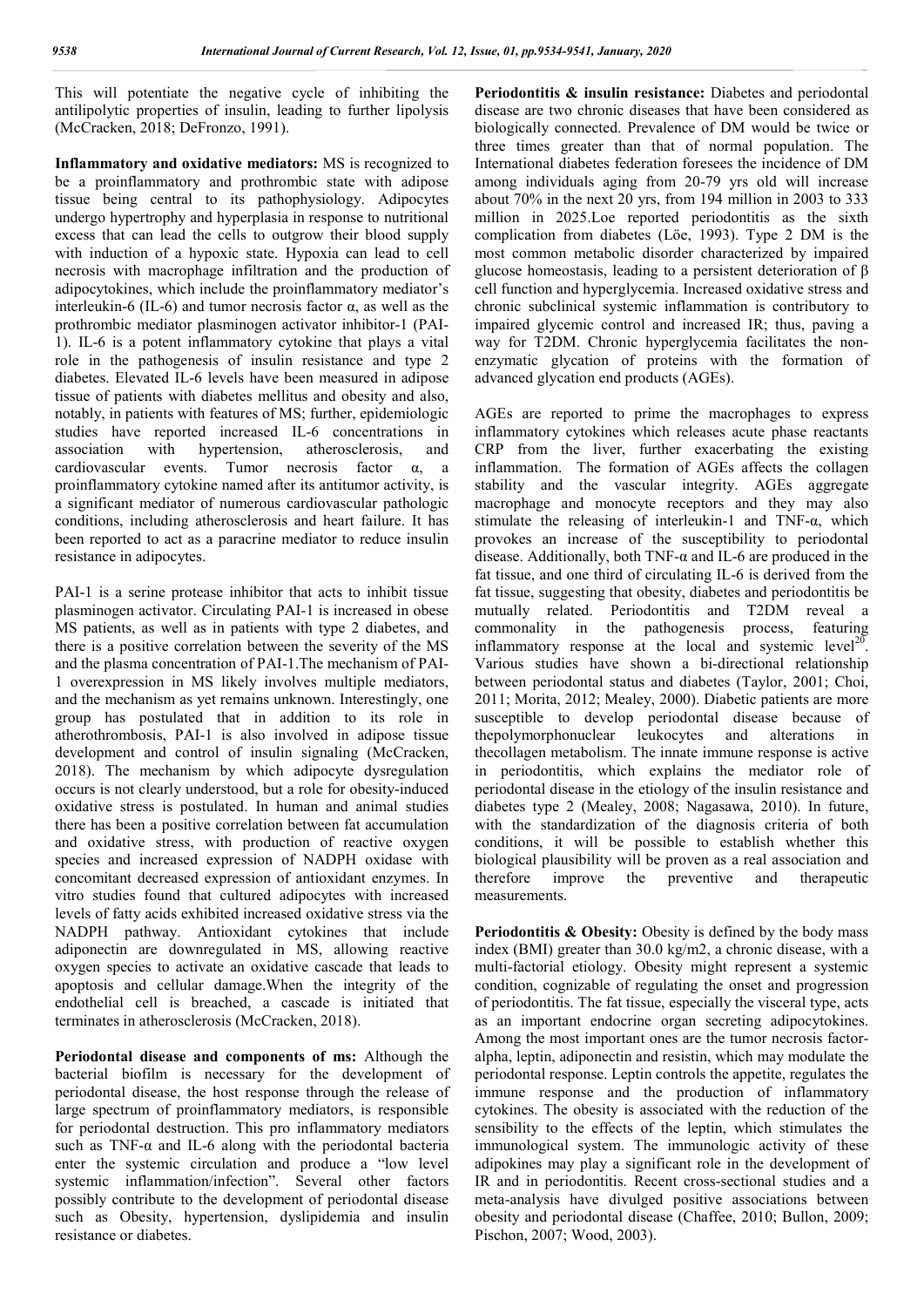This will potentiate the negative cycle of inhibiting the antilipolytic properties of insulin, leading to further lipolysis (McCracken, 2018; DeFronzo, 1991).

**Inflammatory and oxidative mediators:** MS is recognized to be a proinflammatory and prothrombic state with adipose tissue being central to its pathophysiology. Adipocytes undergo hypertrophy and hyperplasia in response to nutritional excess that can lead the cells to outgrow their blood supply with induction of a hypoxic state. Hypoxia can lead to cell necrosis with macrophage infiltration and the production of adipocytokines, which include the proinflammatory mediator's interleukin-6 (IL-6) and tumor necrosis factor α, as well as the prothrombic mediator plasminogen activator inhibitor-1 (PAI-1). IL-6 is a potent inflammatory cytokine that plays a vital role in the pathogenesis of insulin resistance and type 2 diabetes. Elevated IL-6 levels have been measured in adipose tissue of patients with diabetes mellitus and obesity and also, notably, in patients with features of MS; further, epidemiologic studies have reported increased IL-6 concentrations in association with hypertension, atherosclerosis, and cardiovascular events. Tumor necrosis factor α, a proinflammatory cytokine named after its antitumor activity, is a significant mediator of numerous cardiovascular pathologic conditions, including atherosclerosis and heart failure. It has been reported to act as a paracrine mediator to reduce insulin resistance in adipocytes.

PAI-1 is a serine protease inhibitor that acts to inhibit tissue plasminogen activator. Circulating PAI-1 is increased in obese MS patients, as well as in patients with type 2 diabetes, and there is a positive correlation between the severity of the MS and the plasma concentration of PAI-1.The mechanism of PAI-1 overexpression in MS likely involves multiple mediators, and the mechanism as yet remains unknown. Interestingly, one group has postulated that in addition to its role in atherothrombosis, PAI-1 is also involved in adipose tissue development and control of insulin signaling (McCracken, 2018). The mechanism by which adipocyte dysregulation occurs is not clearly understood, but a role for obesity-induced oxidative stress is postulated. In human and animal studies there has been a positive correlation between fat accumulation and oxidative stress, with production of reactive oxygen species and increased expression of NADPH oxidase with concomitant decreased expression of antioxidant enzymes. In vitro studies found that cultured adipocytes with increased levels of fatty acids exhibited increased oxidative stress via the NADPH pathway. Antioxidant cytokines that include adiponectin are downregulated in MS, allowing reactive oxygen species to activate an oxidative cascade that leads to apoptosis and cellular damage.When the integrity of the endothelial cell is breached, a cascade is initiated that terminates in atherosclerosis (McCracken, 2018).

**Periodontal disease and components of ms:** Although the bacterial biofilm is necessary for the development of periodontal disease, the host response through the release of large spectrum of proinflammatory mediators, is responsible for periodontal destruction. This pro inflammatory mediators such as TNF- $\alpha$  and IL-6 along with the periodontal bacteria enter the systemic circulation and produce a "low level systemic inflammation/infection". Several other factors possibly contribute to the development of periodontal disease such as Obesity, hypertension, dyslipidemia and insulin resistance or diabetes.

Periodontitis & insulin resistance: Diabetes and periodontal disease are two chronic diseases that have been considered as biologically connected. Prevalence of DM would be twice or three times greater than that of normal population. The International diabetes federation foresees the incidence of DM among individuals aging from 20-79 yrs old will increase about 70% in the next 20 yrs, from 194 million in 2003 to 333 million in 2025.Loe reported periodontitis as the sixth complication from diabetes (Löe, 1993). Type 2 DM is the most common metabolic disorder characterized by impaired glucose homeostasis, leading to a persistent deterioration of β cell function and hyperglycemia. Increased oxidative stress and chronic subclinical systemic inflammation is contributory to impaired glycemic control and increased IR; thus, paving a way for T2DM. Chronic hyperglycemia facilitates the nonenzymatic glycation of proteins with the formation of advanced glycation end products (AGEs).

AGEs are reported to prime the macrophages to express inflammatory cytokines which releases acute phase reactants CRP from the liver, further exacerbating the existing inflammation. The formation of AGEs affects the collagen stability and the vascular integrity. AGEs aggregate macrophage and monocyte receptors and they may also stimulate the releasing of interleukin-1 and TNF- $\alpha$ , which provokes an increase of the susceptibility to periodontal disease. Additionally, both TNF- $\alpha$  and IL-6 are produced in the fat tissue, and one third of circulating IL-6 is derived from the fat tissue, suggesting that obesity, diabetes and periodontitis be mutually related. Periodontitis and T2DM reveal a commonality in the pathogenesis process, featuring inflammatory response at the local and systemic level<sup>20</sup>. Various studies have shown a bi-directional relationship between periodontal status and diabetes (Taylor, 2001; Choi, 2011; Morita, 2012; Mealey, 2000). Diabetic patients are more susceptible to develop periodontal disease because of thepolymorphonuclear leukocytes and alterations in thecollagen metabolism. The innate immune response is active in periodontitis, which explains the mediator role of periodontal disease in the etiology of the insulin resistance and diabetes type 2 (Mealey, 2008; Nagasawa, 2010). In future, with the standardization of the diagnosis criteria of both conditions, it will be possible to establish whether this biological plausibility will be proven as a real association and therefore improve the preventive and therapeutic measurements.

**Periodontitis & Obesity:** Obesity is defined by the body mass index (BMI) greater than 30.0 kg/m2, a chronic disease, with a multi-factorial etiology. Obesity might represent a systemic condition, cognizable of regulating the onset and progression of periodontitis. The fat tissue, especially the visceral type, acts as an important endocrine organ secreting adipocytokines. Among the most important ones are the tumor necrosis factoralpha, leptin, adiponectin and resistin, which may modulate the periodontal response. Leptin controls the appetite, regulates the immune response and the production of inflammatory cytokines. The obesity is associated with the reduction of the sensibility to the effects of the leptin, which stimulates the immunological system. The immunologic activity of these adipokines may play a significant role in the development of IR and in periodontitis. Recent cross-sectional studies and a meta-analysis have divulged positive associations between obesity and periodontal disease (Chaffee, 2010; Bullon, 2009; Pischon, 2007; Wood, 2003).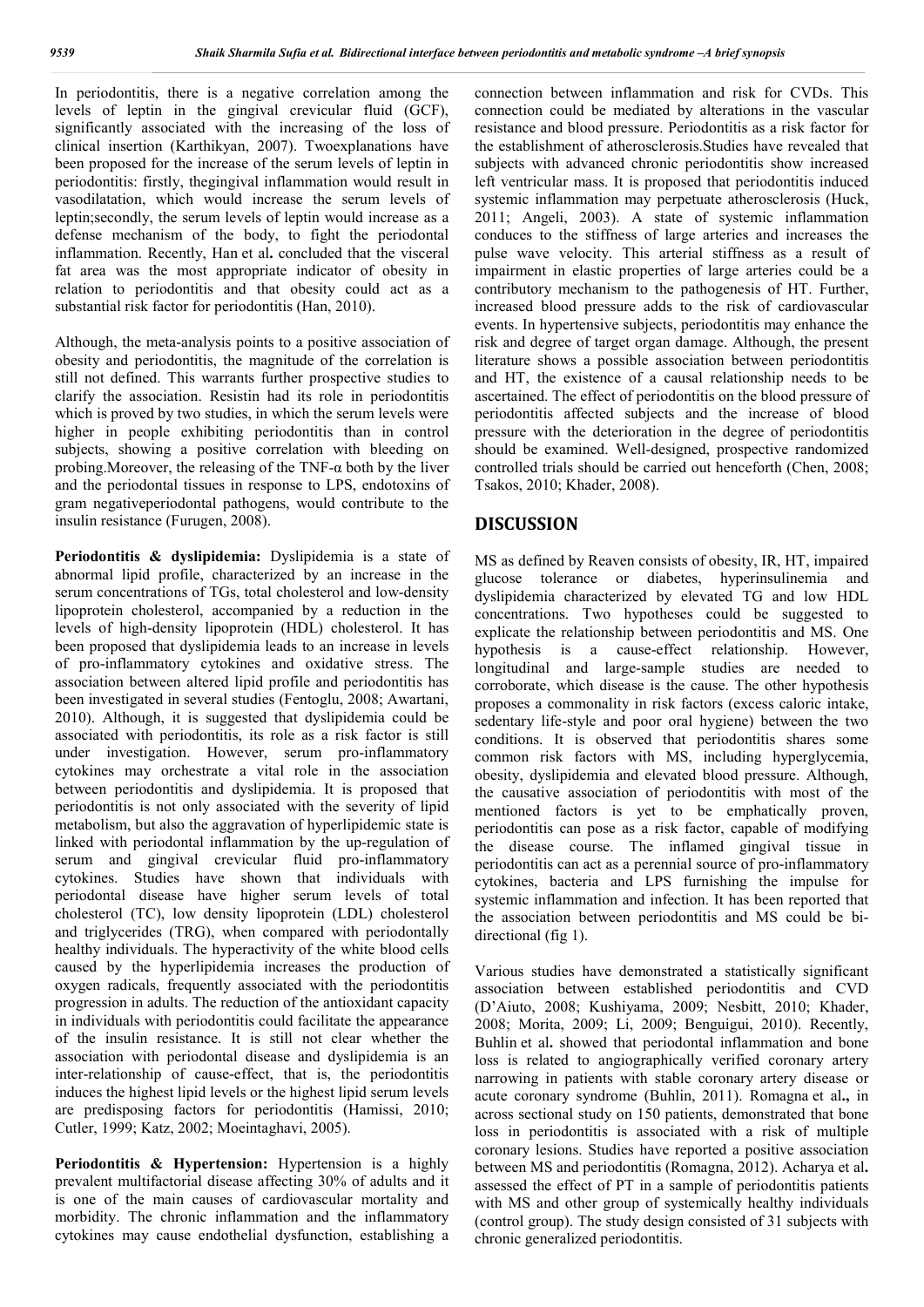In periodontitis, there is a negative correlation among the levels of leptin in the gingival crevicular fluid (GCF), significantly associated with the increasing of the loss of clinical insertion (Karthikyan, 2007). Twoexplanations have been proposed for the increase of the serum levels of leptin in periodontitis: firstly, thegingival inflammation would result in vasodilatation, which would increase the serum levels of leptin;secondly, the serum levels of leptin would increase as a defense mechanism of the body, to fight the periodontal inflammation. Recently, Han et al**.** concluded that the visceral fat area was the most appropriate indicator of obesity in relation to periodontitis and that obesity could act as a substantial risk factor for periodontitis (Han, 2010).

Although, the meta-analysis points to a positive association of obesity and periodontitis, the magnitude of the correlation is still not defined. This warrants further prospective studies to clarify the association. Resistin had its role in periodontitis which is proved by two studies, in which the serum levels were higher in people exhibiting periodontitis than in control subjects, showing a positive correlation with bleeding on probing. Moreover, the releasing of the TNF- $\alpha$  both by the liver and the periodontal tissues in response to LPS, endotoxins of gram negativeperiodontal pathogens, would contribute to the insulin resistance (Furugen, 2008).

**Periodontitis & dyslipidemia:** Dyslipidemia is a state of abnormal lipid profile, characterized by an increase in the serum concentrations of TGs, total cholesterol and low-density lipoprotein cholesterol, accompanied by a reduction in the levels of high-density lipoprotein (HDL) cholesterol. It has been proposed that dyslipidemia leads to an increase in levels of pro-inflammatory cytokines and oxidative stress. The association between altered lipid profile and periodontitis has been investigated in several studies (Fentoglu, 2008; Awartani, 2010). Although, it is suggested that dyslipidemia could be associated with periodontitis, its role as a risk factor is still under investigation. However, serum pro-inflammatory cytokines may orchestrate a vital role in the association between periodontitis and dyslipidemia. It is proposed that periodontitis is not only associated with the severity of lipid metabolism, but also the aggravation of hyperlipidemic state is linked with periodontal inflammation by the up-regulation of serum and gingival crevicular fluid pro-inflammatory cytokines. Studies have shown that individuals with periodontal disease have higher serum levels of total cholesterol (TC), low density lipoprotein (LDL) cholesterol and triglycerides (TRG), when compared with periodontally healthy individuals. The hyperactivity of the white blood cells caused by the hyperlipidemia increases the production of oxygen radicals, frequently associated with the periodontitis progression in adults. The reduction of the antioxidant capacity in individuals with periodontitis could facilitate the appearance of the insulin resistance. It is still not clear whether the association with periodontal disease and dyslipidemia is an inter-relationship of cause-effect, that is, the periodontitis induces the highest lipid levels or the highest lipid serum levels are predisposing factors for periodontitis (Hamissi, 2010; Cutler, 1999; Katz, 2002; Moeintaghavi, 2005).

**Periodontitis & Hypertension:** Hypertension is a highly prevalent multifactorial disease affecting 30% of adults and it is one of the main causes of cardiovascular mortality and morbidity. The chronic inflammation and the inflammatory cytokines may cause endothelial dysfunction, establishing a

connection between inflammation and risk for CVDs. This connection could be mediated by alterations in the vascular resistance and blood pressure. Periodontitis as a risk factor for the establishment of atherosclerosis.Studies have revealed that subjects with advanced chronic periodontitis show increased left ventricular mass. It is proposed that periodontitis induced systemic inflammation may perpetuate atherosclerosis (Huck, 2011; Angeli, 2003). A state of systemic inflammation conduces to the stiffness of large arteries and increases the pulse wave velocity. This arterial stiffness as a result of impairment in elastic properties of large arteries could be a contributory mechanism to the pathogenesis of HT. Further, increased blood pressure adds to the risk of cardiovascular events. In hypertensive subjects, periodontitis may enhance the risk and degree of target organ damage. Although, the present literature shows a possible association between periodontitis and HT, the existence of a causal relationship needs to be ascertained. The effect of periodontitis on the blood pressure of periodontitis affected subjects and the increase of blood pressure with the deterioration in the degree of periodontitis should be examined. Well-designed, prospective randomized controlled trials should be carried out henceforth (Chen, 2008; Tsakos, 2010; Khader, 2008).

## **DISCUSSION**

MS as defined by Reaven consists of obesity, IR, HT, impaired glucose tolerance or diabetes, hyperinsulinemia and dyslipidemia characterized by elevated TG and low HDL concentrations. Two hypotheses could be suggested to explicate the relationship between periodontitis and MS. One hypothesis is a cause-effect relationship. However, longitudinal and large-sample studies are needed to corroborate, which disease is the cause. The other hypothesis proposes a commonality in risk factors (excess caloric intake, sedentary life-style and poor oral hygiene) between the two conditions. It is observed that periodontitis shares some common risk factors with MS, including hyperglycemia, obesity, dyslipidemia and elevated blood pressure. Although, the causative association of periodontitis with most of the mentioned factors is yet to be emphatically proven, periodontitis can pose as a risk factor, capable of modifying the disease course. The inflamed gingival tissue in periodontitis can act as a perennial source of pro-inflammatory cytokines, bacteria and LPS furnishing the impulse for systemic inflammation and infection. It has been reported that the association between periodontitis and MS could be bidirectional (fig 1).

Various studies have demonstrated a statistically significant association between established periodontitis and CVD (D'Aiuto, 2008; Kushiyama, 2009; Nesbitt, 2010; Khader, 2008; Morita, 2009; Li, 2009; Benguigui, 2010). Recently, Buhlin et al**.** showed that periodontal inflammation and bone loss is related to angiographically verified coronary artery narrowing in patients with stable coronary artery disease or acute coronary syndrome (Buhlin, 2011). Romagna et al**.,** in across sectional study on 150 patients, demonstrated that bone loss in periodontitis is associated with a risk of multiple coronary lesions. Studies have reported a positive association between MS and periodontitis (Romagna, 2012). Acharya et al**.**  assessed the effect of PT in a sample of periodontitis patients with MS and other group of systemically healthy individuals (control group). The study design consisted of 31 subjects with chronic generalized periodontitis.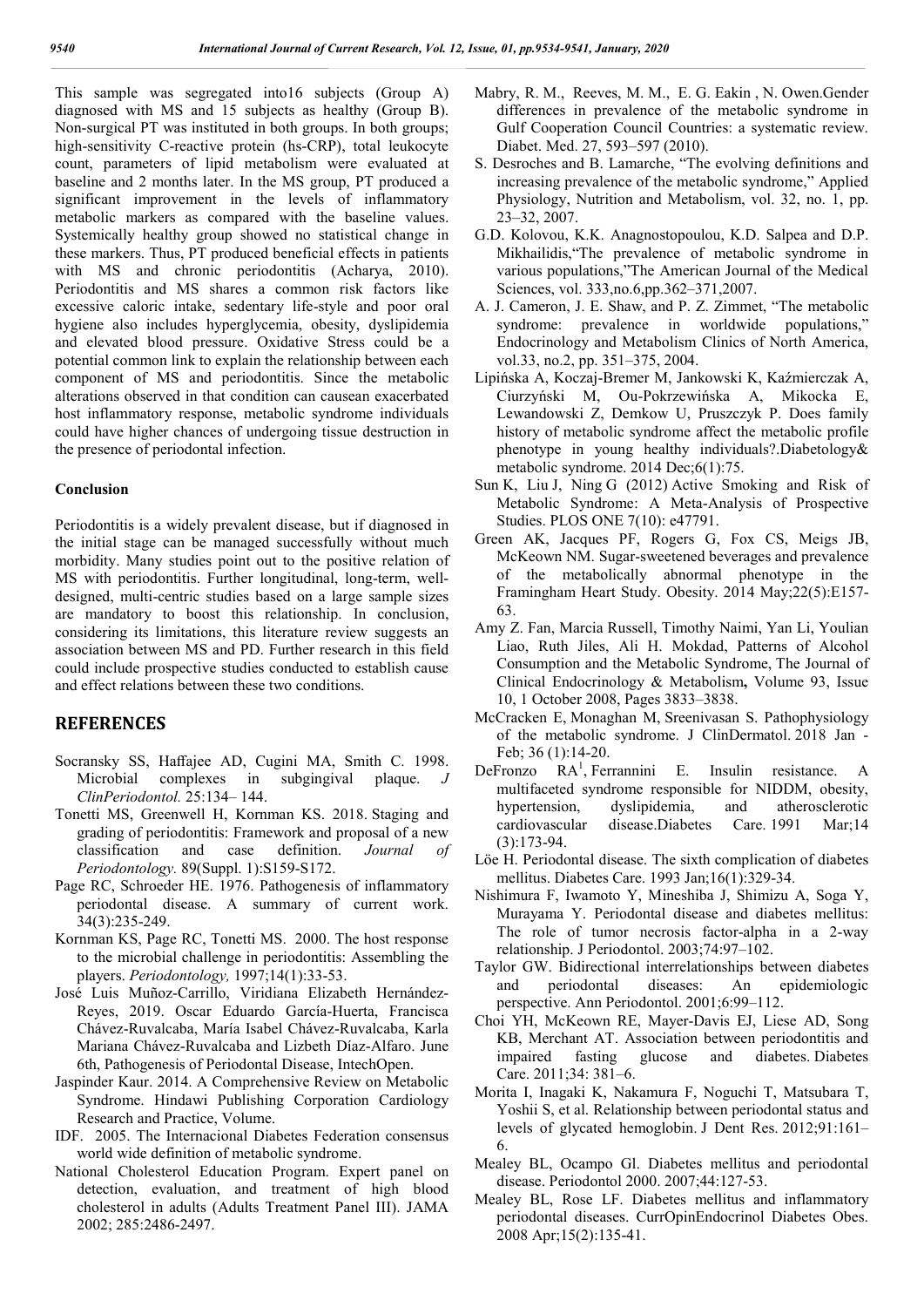This sample was segregated into16 subjects (Group A) diagnosed with MS and 15 subjects as healthy (Group B). Non-surgical PT was instituted in both groups. In both groups; high-sensitivity C-reactive protein (hs-CRP), total leukocyte count, parameters of lipid metabolism were evaluated at baseline and 2 months later. In the MS group, PT produced a significant improvement in the levels of inflammatory metabolic markers as compared with the baseline values. Systemically healthy group showed no statistical change in these markers. Thus, PT produced beneficial effects in patients with MS and chronic periodontitis (Acharya, 2010). Periodontitis and MS shares a common risk factors like excessive caloric intake, sedentary life-style and poor oral hygiene also includes hyperglycemia, obesity, dyslipidemia and elevated blood pressure. Oxidative Stress could be a potential common link to explain the relationship between each component of MS and periodontitis. Since the metabolic alterations observed in that condition can causean exacerbated host inflammatory response, metabolic syndrome individuals could have higher chances of undergoing tissue destruction in the presence of periodontal infection.

#### **Conclusion**

Periodontitis is a widely prevalent disease, but if diagnosed in the initial stage can be managed successfully without much morbidity. Many studies point out to the positive relation of MS with periodontitis. Further longitudinal, long-term, welldesigned, multi-centric studies based on a large sample sizes are mandatory to boost this relationship. In conclusion, considering its limitations, this literature review suggests an association between MS and PD. Further research in this field could include prospective studies conducted to establish cause and effect relations between these two conditions.

### **REFERENCES**

- Socransky SS, Haffajee AD, Cugini MA, Smith C. 1998. Microbial complexes in subgingival plaque. *J ClinPeriodontol.* 25:134– 144.
- Tonetti MS, Greenwell H, Kornman KS. 2018. Staging and grading of periodontitis: Framework and proposal of a new classification and case definition. *Journal of Periodontology.* 89(Suppl. 1):S159-S172.
- Page RC, Schroeder HE. 1976. Pathogenesis of inflammatory periodontal disease. A summary of current work. 34(3):235-249.
- Kornman KS, Page RC, Tonetti MS. 2000. The host response to the microbial challenge in periodontitis: Assembling the players. *Periodontology,* 1997;14(1):33-53.
- José Luis Muñoz-Carrillo, Viridiana Elizabeth Hernández-Reyes, 2019. Oscar Eduardo García-Huerta, Francisca Chávez-Ruvalcaba, María Isabel Chávez-Ruvalcaba, Karla Mariana Chávez-Ruvalcaba and Lizbeth Díaz-Alfaro. June 6th, Pathogenesis of Periodontal Disease, IntechOpen.
- Jaspinder Kaur. 2014. A Comprehensive Review on Metabolic Syndrome. Hindawi Publishing Corporation Cardiology Research and Practice, Volume.
- IDF. 2005. The Internacional Diabetes Federation consensus world wide definition of metabolic syndrome.
- National Cholesterol Education Program. Expert panel on detection, evaluation, and treatment of high blood cholesterol in adults (Adults Treatment Panel III). JAMA 2002; 285:2486-2497.
- Mabry, R. M., Reeves, M. M., E. G. Eakin , N. Owen.Gender differences in prevalence of the metabolic syndrome in Gulf Cooperation Council Countries: a systematic review. Diabet. Med. 27, 593–597 (2010).
- S. Desroches and B. Lamarche, "The evolving definitions and increasing prevalence of the metabolic syndrome," Applied Physiology, Nutrition and Metabolism, vol. 32, no. 1, pp. 23–32, 2007.
- G.D. Kolovou, K.K. Anagnostopoulou, K.D. Salpea and D.P. Mikhailidis,"The prevalence of metabolic syndrome in various populations,"The American Journal of the Medical Sciences, vol. 333,no.6,pp.362–371,2007.
- A. J. Cameron, J. E. Shaw, and P. Z. Zimmet, "The metabolic syndrome: prevalence in worldwide populations," Endocrinology and Metabolism Clinics of North America, vol.33, no.2, pp. 351–375, 2004.
- Lipińska A, Koczaj-Bremer M, Jankowski K, Kaźmierczak A, Ciurzyński M, Ou-Pokrzewińska A, Mikocka E, Lewandowski Z, Demkow U, Pruszczyk P. Does family history of metabolic syndrome affect the metabolic profile phenotype in young healthy individuals?.Diabetology& metabolic syndrome. 2014 Dec;6(1):75.
- Sun K, Liu J, Ning G (2012) Active Smoking and Risk of Metabolic Syndrome: A Meta-Analysis of Prospective Studies. PLOS ONE 7(10): e47791.
- Green AK, Jacques PF, Rogers G, Fox CS, Meigs JB, McKeown NM. Sugar‐sweetened beverages and prevalence of the metabolically abnormal phenotype in the Framingham Heart Study. Obesity. 2014 May;22(5):E157- 63.
- Amy Z. Fan, Marcia Russell, Timothy Naimi, Yan Li, Youlian Liao, Ruth Jiles, Ali H. Mokdad, Patterns of Alcohol Consumption and the Metabolic Syndrome, The Journal of Clinical Endocrinology & Metabolism**,** Volume 93, Issue 10, 1 October 2008, Pages 3833–3838.
- McCracken E, Monaghan M, Sreenivasan S. Pathophysiology of the metabolic syndrome. J ClinDermatol. 2018 Jan - Feb; 36 (1):14-20.
- DeFronzo  $RA<sup>1</sup>$ , Ferrannini E. Insulin resistance. A multifaceted syndrome responsible for NIDDM, obesity, hypertension, dyslipidemia, and atherosclerotic cardiovascular disease.Diabetes Care. 1991 Mar;14 (3):173-94.
- Löe H. Periodontal disease. The sixth complication of diabetes mellitus. Diabetes Care. 1993 Jan;16(1):329-34.
- Nishimura F, Iwamoto Y, Mineshiba J, Shimizu A, Soga Y, Murayama Y. Periodontal disease and diabetes mellitus: The role of tumor necrosis factor-alpha in a 2-way relationship. J Periodontol. 2003;74:97–102.
- Taylor GW. Bidirectional interrelationships between diabetes and periodontal diseases: An epidemiologic perspective. Ann Periodontol. 2001;6:99–112.
- Choi YH, McKeown RE, Mayer-Davis EJ, Liese AD, Song KB, Merchant AT. Association between periodontitis and impaired fasting glucose and diabetes. Diabetes Care. 2011;34: 381–6.
- Morita I, Inagaki K, Nakamura F, Noguchi T, Matsubara T, Yoshii S, et al. Relationship between periodontal status and levels of glycated hemoglobin. J Dent Res. 2012;91:161– 6.
- Mealey BL, Ocampo Gl. Diabetes mellitus and periodontal disease. Periodontol 2000. 2007;44:127-53.
- Mealey BL, Rose LF. Diabetes mellitus and inflammatory periodontal diseases. CurrOpinEndocrinol Diabetes Obes. 2008 Apr;15(2):135-41.